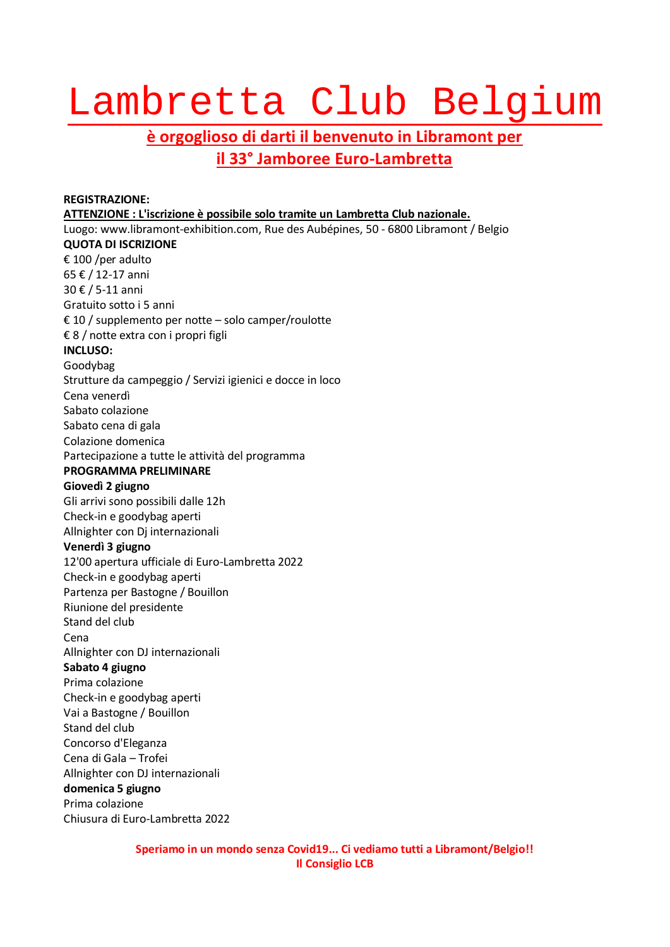## Lambretta Club Belgium

## **è orgoglioso di darti il benvenuto in Libramont per il 33° Jamboree Euro-Lambretta**

## **REGISTRAZIONE: ATTENZIONE : L'iscrizione è possibile solo tramite un Lambretta Club nazionale.** Luogo: www.libramont-exhibition.com, Rue des Aubépines, 50 - 6800 Libramont / Belgio **QUOTA DI ISCRIZIONE** € 100 /per adulto 65 € / 12-17 anni 30 € / 5-11 anni Gratuito sotto i 5 anni € 10 / supplemento per notte – solo camper/roulotte € 8 / notte extra con i propri figli **INCLUSO:** Goodybag Strutture da campeggio / Servizi igienici e docce in loco Cena venerdì Sabato colazione Sabato cena di gala Colazione domenica Partecipazione a tutte le attività del programma **PROGRAMMA PRELIMINARE Giovedì 2 giugno** Gli arrivi sono possibili dalle 12h Check-in e goodybag aperti Allnighter con Dj internazionali **Venerdì 3 giugno** 12'00 apertura ufficiale di Euro-Lambretta 2022 Check-in e goodybag aperti Partenza per Bastogne / Bouillon Riunione del presidente Stand del club Cena Allnighter con DJ internazionali **Sabato 4 giugno** Prima colazione Check-in e goodybag aperti Vai a Bastogne / Bouillon Stand del club Concorso d'Eleganza Cena di Gala – Trofei Allnighter con DJ internazionali **domenica 5 giugno** Prima colazione Chiusura di Euro-Lambretta 2022

**Speriamo in un mondo senza Covid19... Ci vediamo tutti a Libramont/Belgio!! Il Consiglio LCB**